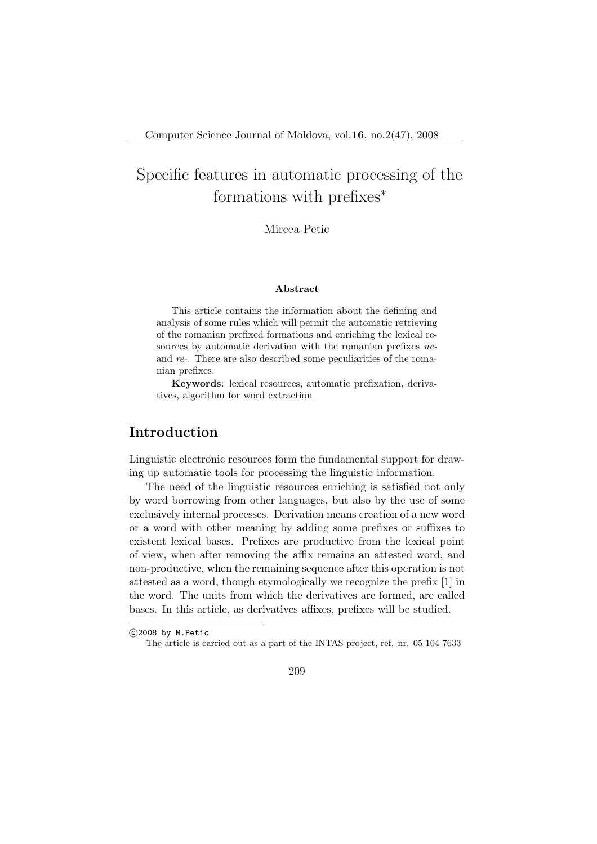Mircea Petic

#### Abstract

This article contains the information about the defining and analysis of some rules which will permit the automatic retrieving of the romanian prefixed formations and enriching the lexical resources by automatic derivation with the romanian prefixes *ne*and re-. There are also described some peculiarities of the romanian prefixes.

Keywords: lexical resources, automatic prefixation, derivatives, algorithm for word extraction

## Introduction

Linguistic electronic resources form the fundamental support for drawing up automatic tools for processing the linguistic information.

The need of the linguistic resources enriching is satisfied not only by word borrowing from other languages, but also by the use of some exclusively internal processes. Derivation means creation of a new word or a word with other meaning by adding some prefixes or suffixes to existent lexical bases. Prefixes are productive from the lexical point of view, when after removing the affix remains an attested word, and non-productive, when the remaining sequence after this operation is not attested as a word, though etymologically we recognize the prefix [1] in the word. The units from which the derivatives are formed, are called bases. In this article, as derivatives affixes, prefixes will be studied.

<sup>°</sup>c 2008 by M.Petic

The article is carried out as a part of the INTAS project, ref. nr. 05-104-7633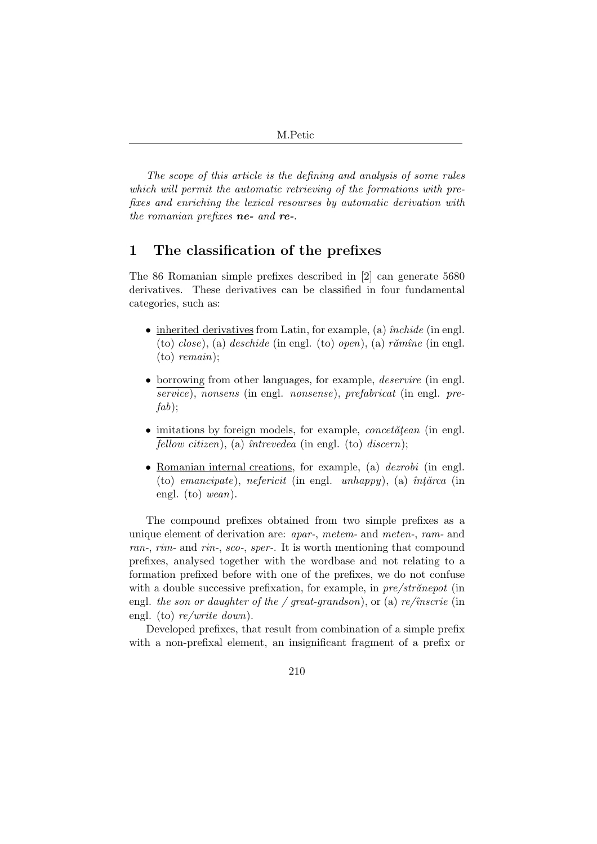The scope of this article is the defining and analysis of some rules which will permit the automatic retrieving of the formations with prefixes and enriching the lexical resourses by automatic derivation with the romanian prefixes ne- and re-.

### 1 The classification of the prefixes

The 86 Romanian simple prefixes described in [2] can generate 5680 derivatives. These derivatives can be classified in four fundamental categories, such as:

- inherited derivatives from Latin, for example, (a)  $\hat{in}$  chide (in engl. (to) close), (a) deschide (in engl. (to) open), (a) rămîne (in engl. (to) remain);
- borrowing from other languages, for example, *deservire* (in engl. service), nonsens (in engl. nonsense), prefabricat (in engl. pre $fab$ );
- $\bullet$  imitations by foreign models, for example, *concetatean* (in engl. fellow citizen), (a)  $\hat{i}$ ntrevedea (in engl. (to) discern);
- Romanian internal creations, for example, (a) *dezrobi* (in engl. (to) emancipate), nefericit (in engl. unhappy), (a)  $\hat{i}n\hat{j}n\hat{k}$  (in engl. (to) wean).

The compound prefixes obtained from two simple prefixes as a unique element of derivation are: apar-, metem- and meten-, ram- and ran-, rim- and rin-, sco-, sper-. It is worth mentioning that compound prefixes, analysed together with the wordbase and not relating to a formation prefixed before with one of the prefixes, we do not confuse with a double successive prefixation, for example, in  $pre/str\check{a}nepot$  (in engl. the son or daughter of the / great-grandson), or (a) re/înscrie (in engl. (to)  $re/write\ down$ ).

Developed prefixes, that result from combination of a simple prefix with a non-prefixal element, an insignificant fragment of a prefix or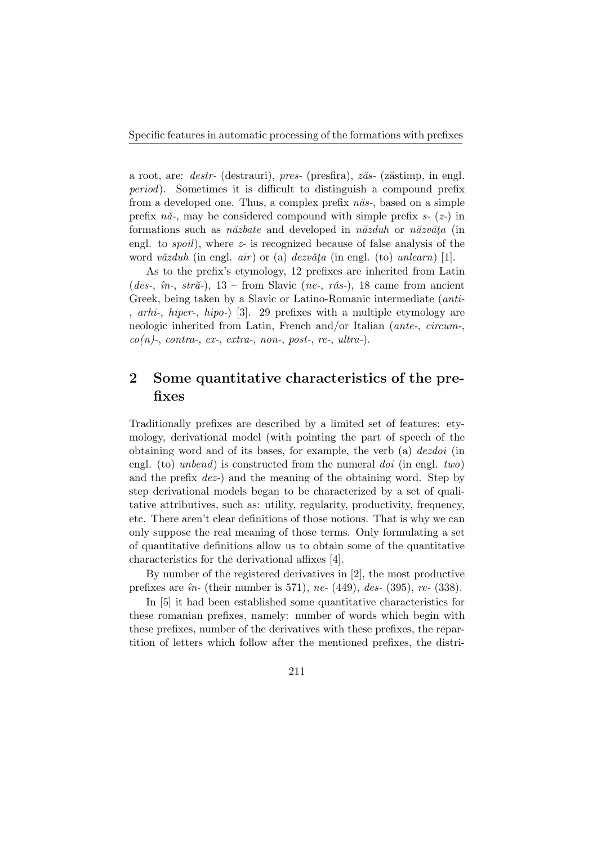a root, are: *destr*- (destrauri), *pres*- (presfira),  $z\breve{a}s$ - ( $z\breve{a}stimp$ , in engl. period). Sometimes it is difficult to distinguish a compound prefix from a developed one. Thus, a complex prefix  $n\check{a}s$ -, based on a simple prefix  $n\check{a}$ -, may be considered compound with simple prefix  $s$ - ( $z$ -) in formations such as *n* $\check{a}z \check{b}$  at and developed in *n* $\check{a}z \check{c} \check{d}$  or *n* $\check{a}z \check{c} \check{d} \check{c}$  (in engl. to spoil), where z- is recognized because of false analysis of the word văzduh (in engl. air) or (a) dezvăța (in engl. (to) unlearn) [1].

As to the prefix's etymology, 12 prefixes are inherited from Latin (des-,  $\hat{i}n$ -,  $str\check{a}$ -), 13 – from Slavic (ne-, r $\check{a}s$ -), 18 came from ancient Greek, being taken by a Slavic or Latino-Romanic intermediate (anti- , arhi-, hiper-, hipo-) [3]. 29 prefixes with a multiple etymology are neologic inherited from Latin, French and/or Italian (ante-, circum-,  $co(n)$ -, contra-, ex-, extra-, non-, post-, re-, ultra-).

# 2 Some quantitative characteristics of the prefixes

Traditionally prefixes are described by a limited set of features: etymology, derivational model (with pointing the part of speech of the obtaining word and of its bases, for example, the verb (a) dezdoi (in engl. (to) unbend) is constructed from the numeral doi (in engl. two) and the prefix dez-) and the meaning of the obtaining word. Step by step derivational models began to be characterized by a set of qualitative attributives, such as: utility, regularity, productivity, frequency, etc. There aren't clear definitions of those notions. That is why we can only suppose the real meaning of those terms. Only formulating a set of quantitative definitions allow us to obtain some of the quantitative characteristics for the derivational affixes [4].

By number of the registered derivatives in [2], the most productive prefixes are  $\hat{u}$ - (their number is 571), ne- (449), des- (395), re- (338).

In [5] it had been established some quantitative characteristics for these romanian prefixes, namely: number of words which begin with these prefixes, number of the derivatives with these prefixes, the repartition of letters which follow after the mentioned prefixes, the distri-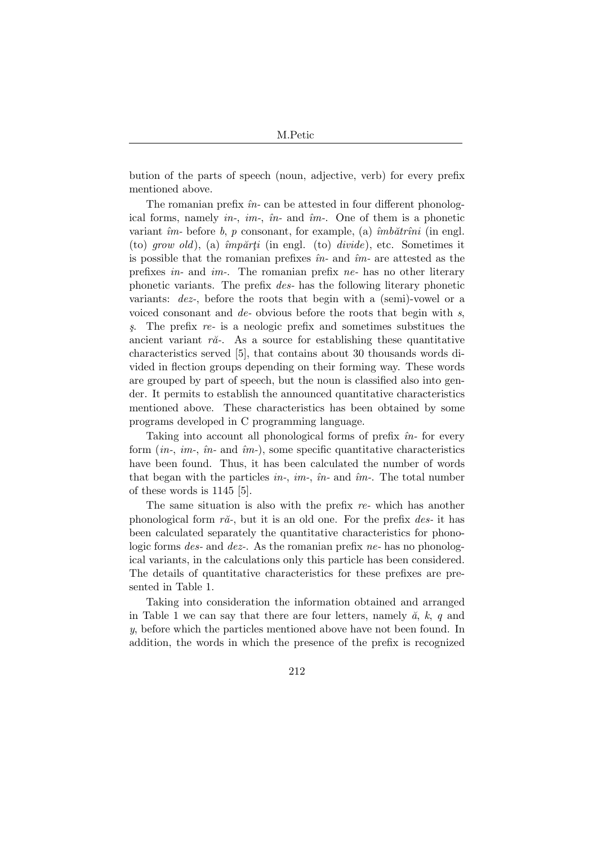bution of the parts of speech (noun, adjective, verb) for every prefix mentioned above.

The romanian prefix  $\hat{m}$ - can be attested in four different phonological forms, namely in-, im-,  $\hat{m}$ - and  $\hat{m}$ -. One of them is a phonetic variant  $\hat{i}m$ - before b, p consonant, for example, (a)  $\hat{i}m\hat{a}t$  r $\hat{i}n\hat{i}$  (in engl. (to) grow old), (a)  $\hat{i}mp\check{a}rti$  (in engl. (to) divide), etc. Sometimes it is possible that the romanian prefixes  $\hat{m}$ - and  $\hat{m}$ - are attested as the prefixes in- and im-. The romanian prefix ne- has no other literary phonetic variants. The prefix des- has the following literary phonetic variants: dez-, before the roots that begin with a (semi)-vowel or a voiced consonant and de- obvious before the roots that begin with s,  $\delta$ . The prefix re- is a neologic prefix and sometimes substitues the ancient variant  $r\check{a}$ -. As a source for establishing these quantitative characteristics served [5], that contains about 30 thousands words divided in flection groups depending on their forming way. These words are grouped by part of speech, but the noun is classified also into gender. It permits to establish the announced quantitative characteristics mentioned above. These characteristics has been obtained by some programs developed in C programming language.

Taking into account all phonological forms of prefix  $\hat{u}$ - for every form  $(in-, im-, \hat{m}$ - and  $\hat{i}m$ -), some specific quantitative characteristics have been found. Thus, it has been calculated the number of words that began with the particles in-, im-,  $\hat{m}$ - and  $\hat{i}m$ -. The total number of these words is 1145 [5].

The same situation is also with the prefix re- which has another phonological form  $r\check{a}$ -, but it is an old one. For the prefix *des*- it has been calculated separately the quantitative characteristics for phonologic forms *des-* and *dez-*. As the romanian prefix *ne-* has no phonological variants, in the calculations only this particle has been considered. The details of quantitative characteristics for these prefixes are presented in Table 1.

Taking into consideration the information obtained and arranged in Table 1 we can say that there are four letters, namely  $\check{a}$ ,  $k$ , q and y, before which the particles mentioned above have not been found. In addition, the words in which the presence of the prefix is recognized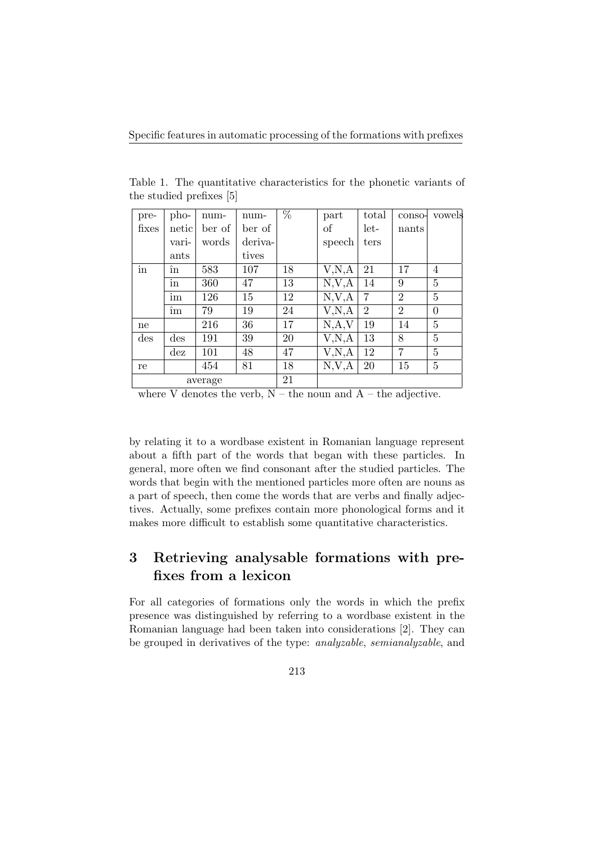| pre-    | pho-                             | num-   | num-    | $\%$ | part                  | total          | conso-         | vowels         |
|---------|----------------------------------|--------|---------|------|-----------------------|----------------|----------------|----------------|
| fixes   | netic                            | ber of | ber of  |      | of                    | let-           | nants          |                |
|         | vari-                            | words  | deriva- |      | speech                | ters           |                |                |
|         | ants                             |        | tives   |      |                       |                |                |                |
| in      | în                               | 583    | 107     | 18   | V, N, A               | 21             | 17             | $\overline{4}$ |
|         | $\operatorname{in}$              | 360    | 47      | 13   | N, V, A               | 14             | 9              | 5              |
|         | im                               | 126    | 15      | 12   | N, V, A               | 7              | $\overline{2}$ | 5              |
|         | îm                               | 79     | 19      | 24   | $\overline{V}$ , N, A | $\overline{2}$ | $\overline{2}$ | $\theta$       |
| ne      |                                  | 216    | 36      | 17   | N, A, V               | 19             | 14             | 5              |
| des     | $\mathrm{des}$                   | 191    | 39      | 20   | V, N, A               | 13             | 8              | 5              |
|         | $\mathrm{d}\mathrm{e}\mathrm{z}$ | 101    | 48      | 47   | V, N, A               | 12             | 7              | 5              |
| re      |                                  | 454    | 81      | 18   | N, V, A               | <b>20</b>      | 15             | $\overline{5}$ |
| average |                                  |        | 21      |      |                       |                |                |                |

Table 1. The quantitative characteristics for the phonetic variants of the studied prefixes [5]

where V denotes the verb,  $N -$  the noun and  $A -$  the adjective.

by relating it to a wordbase existent in Romanian language represent about a fifth part of the words that began with these particles. In general, more often we find consonant after the studied particles. The words that begin with the mentioned particles more often are nouns as a part of speech, then come the words that are verbs and finally adjectives. Actually, some prefixes contain more phonological forms and it makes more difficult to establish some quantitative characteristics.

# 3 Retrieving analysable formations with prefixes from a lexicon

For all categories of formations only the words in which the prefix presence was distinguished by referring to a wordbase existent in the Romanian language had been taken into considerations [2]. They can be grouped in derivatives of the type: analyzable, semianalyzable, and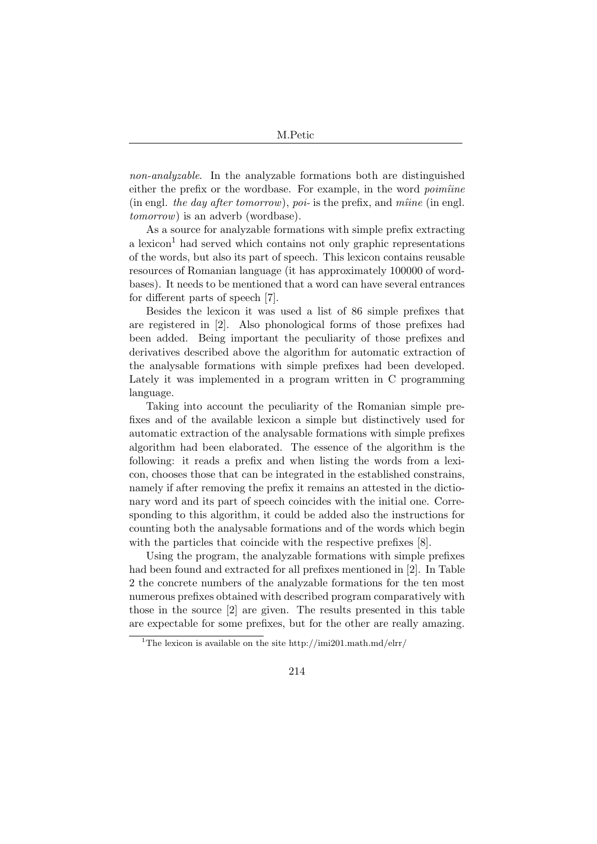non-analyzable. In the analyzable formations both are distinguished either the prefix or the wordbase. For example, in the word *poimîine* (in engl. the day after tomorrow), poi- is the prefix, and mîine (in engl. tomorrow) is an adverb (wordbase).

As a source for analyzable formations with simple prefix extracting a lexicon<sup>1</sup> had served which contains not only graphic representations of the words, but also its part of speech. This lexicon contains reusable resources of Romanian language (it has approximately 100000 of wordbases). It needs to be mentioned that a word can have several entrances for different parts of speech [7].

Besides the lexicon it was used a list of 86 simple prefixes that are registered in [2]. Also phonological forms of those prefixes had been added. Being important the peculiarity of those prefixes and derivatives described above the algorithm for automatic extraction of the analysable formations with simple prefixes had been developed. Lately it was implemented in a program written in C programming language.

Taking into account the peculiarity of the Romanian simple prefixes and of the available lexicon a simple but distinctively used for automatic extraction of the analysable formations with simple prefixes algorithm had been elaborated. The essence of the algorithm is the following: it reads a prefix and when listing the words from a lexicon, chooses those that can be integrated in the established constrains, namely if after removing the prefix it remains an attested in the dictionary word and its part of speech coincides with the initial one. Corresponding to this algorithm, it could be added also the instructions for counting both the analysable formations and of the words which begin with the particles that coincide with the respective prefixes [8].

Using the program, the analyzable formations with simple prefixes had been found and extracted for all prefixes mentioned in [2]. In Table 2 the concrete numbers of the analyzable formations for the ten most numerous prefixes obtained with described program comparatively with those in the source [2] are given. The results presented in this table are expectable for some prefixes, but for the other are really amazing.

<sup>&</sup>lt;sup>1</sup>The lexicon is available on the site http://imi201.math.md/elrr/

<sup>214</sup>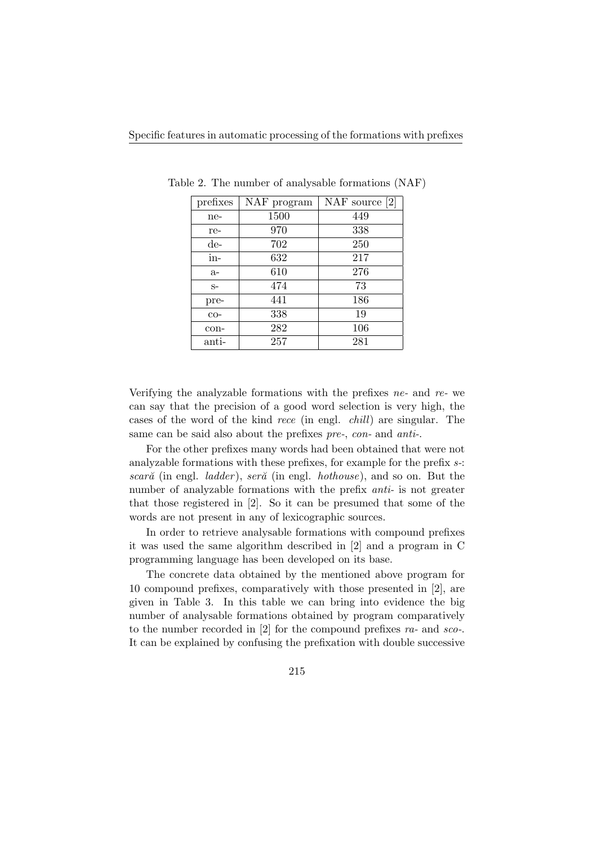| prefixes | NAF program | NAF source $[2]$ |
|----------|-------------|------------------|
| ne-      | 1500        | 449              |
| re-      | 970         | 338              |
| de-      | 702         | 250              |
| in-      | 632         | 217              |
| $a-$     | 610         | 276              |
| $S-$     | 474         | 73               |
| pre-     | 441         | 186              |
| $CO-$    | 338         | 19               |
| con-     | 282         | 106              |
| anti-    | 257         | 281              |

Table 2. The number of analysable formations (NAF)

Verifying the analyzable formations with the prefixes  $ne$ - and  $re$ - we can say that the precision of a good word selection is very high, the cases of the word of the kind rece (in engl. chill) are singular. The same can be said also about the prefixes pre-, con- and anti-.

For the other prefixes many words had been obtained that were not analyzable formations with these prefixes, for example for the prefix s-: scară (in engl.  $ladder$ ), seră (in engl.  $hothouse$ ), and so on. But the number of analyzable formations with the prefix *anti*- is not greater that those registered in [2]. So it can be presumed that some of the words are not present in any of lexicographic sources.

In order to retrieve analysable formations with compound prefixes it was used the same algorithm described in [2] and a program in C programming language has been developed on its base.

The concrete data obtained by the mentioned above program for 10 compound prefixes, comparatively with those presented in [2], are given in Table 3. In this table we can bring into evidence the big number of analysable formations obtained by program comparatively to the number recorded in [2] for the compound prefixes ra- and sco-. It can be explained by confusing the prefixation with double successive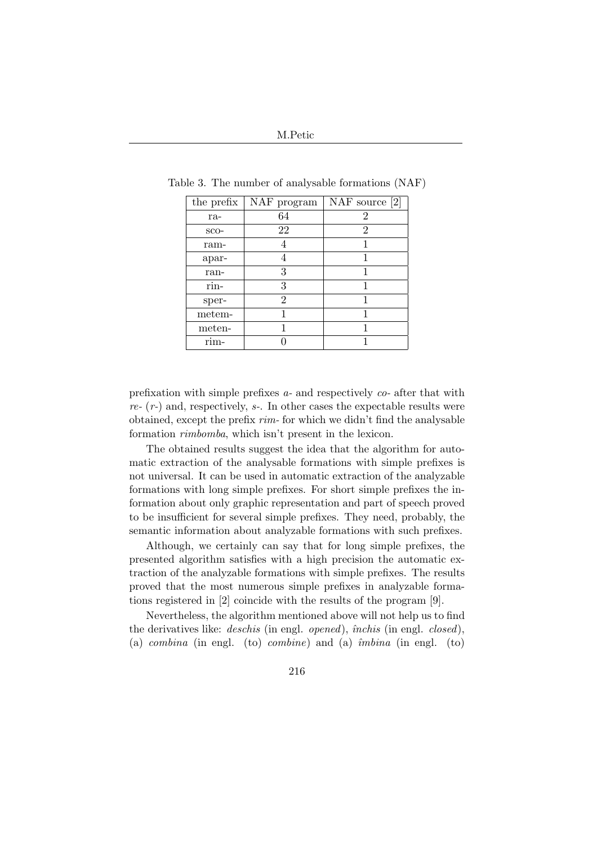| the prefix | NAF program | NAF source $[2]$ |
|------------|-------------|------------------|
| ra-        | 64          | 2                |
| $SCO-$     | 22          | 2                |
| ram-       |             |                  |
| apar-      |             |                  |
| ran-       | 3           |                  |
| rin-       | 3           |                  |
| sper-      | 2           |                  |
| metem-     |             |                  |
| meten-     |             |                  |
| rim-       |             |                  |

Table 3. The number of analysable formations (NAF)

prefixation with simple prefixes a- and respectively co- after that with  $re-(r-)$  and, respectively,  $s$ -. In other cases the expectable results were obtained, except the prefix  $rim$ - for which we didn't find the analysable formation rimbomba, which isn't present in the lexicon.

The obtained results suggest the idea that the algorithm for automatic extraction of the analysable formations with simple prefixes is not universal. It can be used in automatic extraction of the analyzable formations with long simple prefixes. For short simple prefixes the information about only graphic representation and part of speech proved to be insufficient for several simple prefixes. They need, probably, the semantic information about analyzable formations with such prefixes.

Although, we certainly can say that for long simple prefixes, the presented algorithm satisfies with a high precision the automatic extraction of the analyzable formations with simple prefixes. The results proved that the most numerous simple prefixes in analyzable formations registered in [2] coincide with the results of the program [9].

Nevertheless, the algorithm mentioned above will not help us to find the derivatives like: *deschis* (in engl. *opened*), *închis* (in engl. *closed*), (a) combina (in engl. (to) combine) and (a)  $\hat{i}mbina$  (in engl. (to)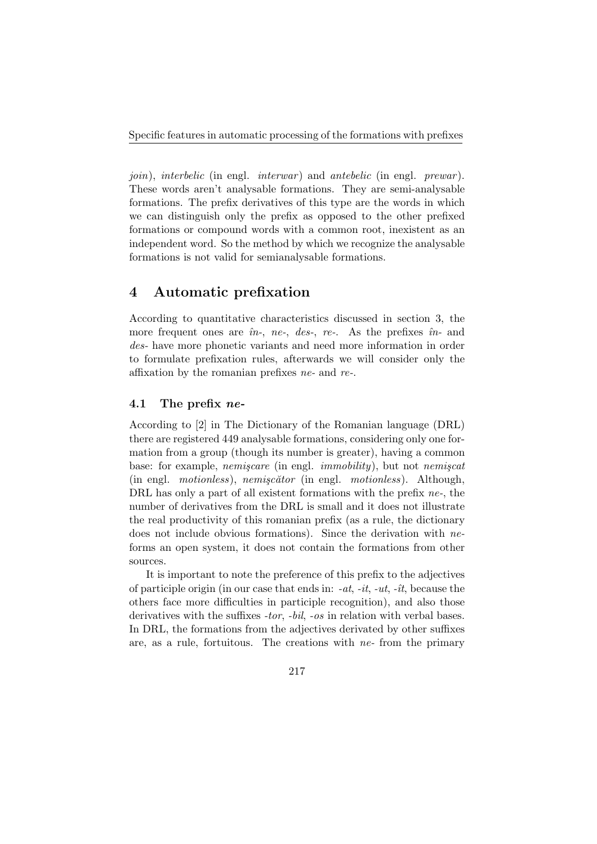*join*), *interbelic* (in engl. *interwar*) and *antebelic* (in engl. *prewar*). These words aren't analysable formations. They are semi-analysable formations. The prefix derivatives of this type are the words in which we can distinguish only the prefix as opposed to the other prefixed formations or compound words with a common root, inexistent as an independent word. So the method by which we recognize the analysable formations is not valid for semianalysable formations.

### 4 Automatic prefixation

According to quantitative characteristics discussed in section 3, the more frequent ones are  $\hat{m}$ -, ne-, des-, re-. As the prefixes  $\hat{m}$ - and des- have more phonetic variants and need more information in order to formulate prefixation rules, afterwards we will consider only the affixation by the romanian prefixes ne- and re-.

#### 4.1 The prefix ne-

According to [2] in The Dictionary of the Romanian language (DRL) there are registered 449 analysable formations, considering only one formation from a group (though its number is greater), having a common base: for example, *nemiscare* (in engl. *immobility*), but not *nemiscat*  $(in \text{ engl. } motionless), \text{ nemiscă} \text{tor (in engl. } motionless).$  Although, DRL has only a part of all existent formations with the prefix ne-, the number of derivatives from the DRL is small and it does not illustrate the real productivity of this romanian prefix (as a rule, the dictionary does not include obvious formations). Since the derivation with neforms an open system, it does not contain the formations from other sources.

It is important to note the preference of this prefix to the adjectives of participle origin (in our case that ends in:  $-at$ ,  $-it$ ,  $-it$ ,  $-it$ , because the others face more difficulties in participle recognition), and also those derivatives with the suffixes -tor, -bil, -os in relation with verbal bases. In DRL, the formations from the adjectives derivated by other suffixes are, as a rule, fortuitous. The creations with  $ne$ - from the primary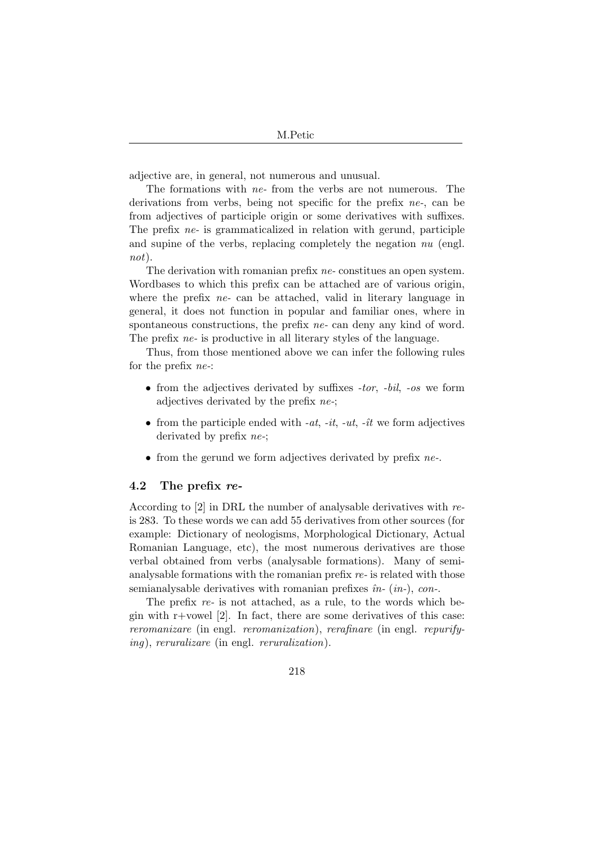adjective are, in general, not numerous and unusual.

The formations with ne- from the verbs are not numerous. The derivations from verbs, being not specific for the prefix ne-, can be from adjectives of participle origin or some derivatives with suffixes. The prefix ne- is grammaticalized in relation with gerund, participle and supine of the verbs, replacing completely the negation nu (engl. not).

The derivation with romanian prefix *ne*-constitues an open system. Wordbases to which this prefix can be attached are of various origin, where the prefix *ne*- can be attached, valid in literary language in general, it does not function in popular and familiar ones, where in spontaneous constructions, the prefix *ne*- can deny any kind of word. The prefix *ne*- is productive in all literary styles of the language.

Thus, from those mentioned above we can infer the following rules for the prefix ne-:

- from the adjectives derivated by suffixes  $-tor$ ,  $-bil$ ,  $-os$  we form adjectives derivated by the prefix ne-;
- from the participle ended with  $-at$ ,  $-it$ ,  $-it$ ,  $-it$ ,  $-\hat{u}$  we form adjectives derivated by prefix ne-;
- from the gerund we form adjectives derivated by prefix *ne*-.

#### 4.2 The prefix  $re$ -

According to [2] in DRL the number of analysable derivatives with reis 283. To these words we can add 55 derivatives from other sources (for example: Dictionary of neologisms, Morphological Dictionary, Actual Romanian Language, etc), the most numerous derivatives are those verbal obtained from verbs (analysable formations). Many of semianalysable formations with the romanian prefix re- is related with those semianalysable derivatives with romanian prefixes  $\hat{m}$ - ( $in$ -), con-.

The prefix re- is not attached, as a rule, to the words which begin with  $r$ +vowel [2]. In fact, there are some derivatives of this case: reromanizare (in engl. reromanization), rerafinare (in engl. repurifying), reruralizare (in engl. reruralization).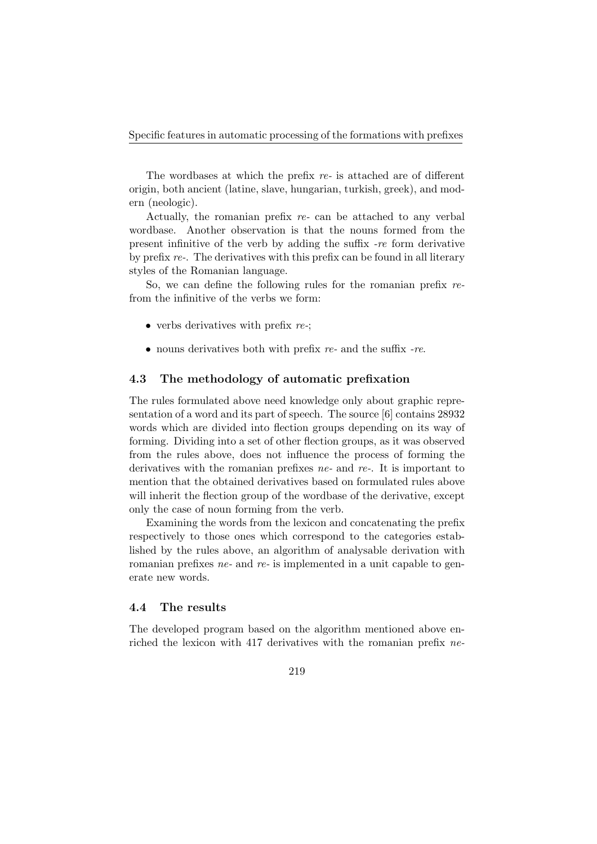The wordbases at which the prefix re- is attached are of different origin, both ancient (latine, slave, hungarian, turkish, greek), and modern (neologic).

Actually, the romanian prefix re- can be attached to any verbal wordbase. Another observation is that the nouns formed from the present infinitive of the verb by adding the suffix -re form derivative by prefix re-. The derivatives with this prefix can be found in all literary styles of the Romanian language.

So, we can define the following rules for the romanian prefix refrom the infinitive of the verbs we form:

- verbs derivatives with prefix  $re$ .
- nouns derivatives both with prefix  $re$  and the suffix  $-re$ .

#### 4.3 The methodology of automatic prefixation

The rules formulated above need knowledge only about graphic representation of a word and its part of speech. The source [6] contains 28932 words which are divided into flection groups depending on its way of forming. Dividing into a set of other flection groups, as it was observed from the rules above, does not influence the process of forming the derivatives with the romanian prefixes  $ne$ - and  $re$ -. It is important to mention that the obtained derivatives based on formulated rules above will inherit the flection group of the wordbase of the derivative, except only the case of noun forming from the verb.

Examining the words from the lexicon and concatenating the prefix respectively to those ones which correspond to the categories established by the rules above, an algorithm of analysable derivation with romanian prefixes  $ne$ - and  $re$ - is implemented in a unit capable to generate new words.

#### 4.4 The results

The developed program based on the algorithm mentioned above enriched the lexicon with 417 derivatives with the romanian prefix ne-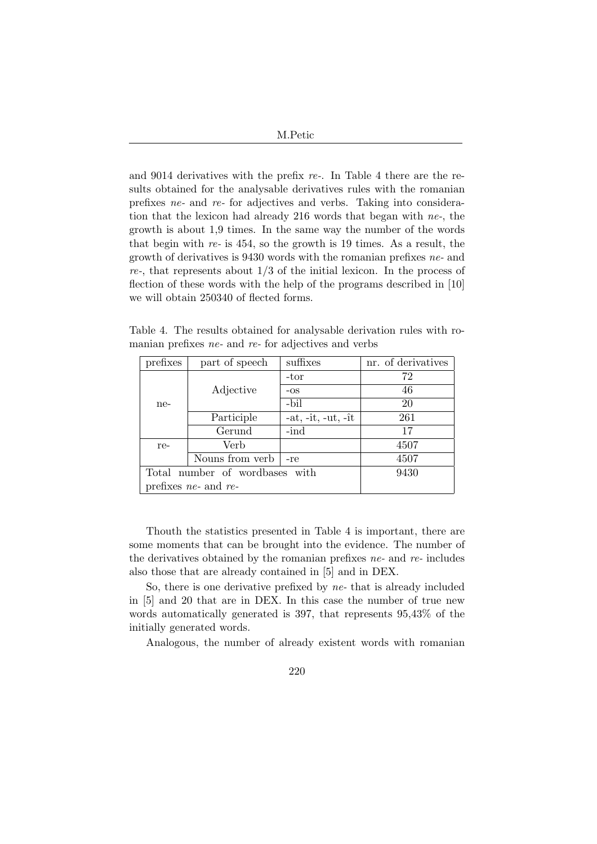| M.Petic |  |
|---------|--|
|         |  |

and 9014 derivatives with the prefix re-. In Table 4 there are the results obtained for the analysable derivatives rules with the romanian prefixes ne- and re- for adjectives and verbs. Taking into consideration that the lexicon had already 216 words that began with ne-, the growth is about 1,9 times. In the same way the number of the words that begin with re- is 454, so the growth is 19 times. As a result, the growth of derivatives is 9430 words with the romanian prefixes ne- and  $re$ , that represents about  $1/3$  of the initial lexicon. In the process of flection of these words with the help of the programs described in [10] we will obtain 250340 of flected forms.

Table 4. The results obtained for analysable derivation rules with romanian prefixes ne- and re- for adjectives and verbs

| prefixes | part of speech                 | suffixes             | nr. of derivatives |
|----------|--------------------------------|----------------------|--------------------|
|          |                                | -tor                 | 72                 |
|          | Adjective                      | $-OS$                | 46                 |
| ne-      |                                | -bil                 | 20                 |
|          | Participle                     | $-at, -it, -ut, -it$ | 261                |
|          | Gerund                         | $-ind$               | 17                 |
| re-      | Verb                           |                      | 4507               |
|          | Nouns from verb                | -re                  | 4507               |
|          | Total number of wordbases with | 9430                 |                    |
|          | prefixes $ne$ - and $re$ -     |                      |                    |

Thouth the statistics presented in Table 4 is important, there are some moments that can be brought into the evidence. The number of the derivatives obtained by the romanian prefixes  $ne$ - and  $re$ - includes also those that are already contained in [5] and in DEX.

So, there is one derivative prefixed by ne- that is already included in [5] and 20 that are in DEX. In this case the number of true new words automatically generated is 397, that represents 95,43% of the initially generated words.

Analogous, the number of already existent words with romanian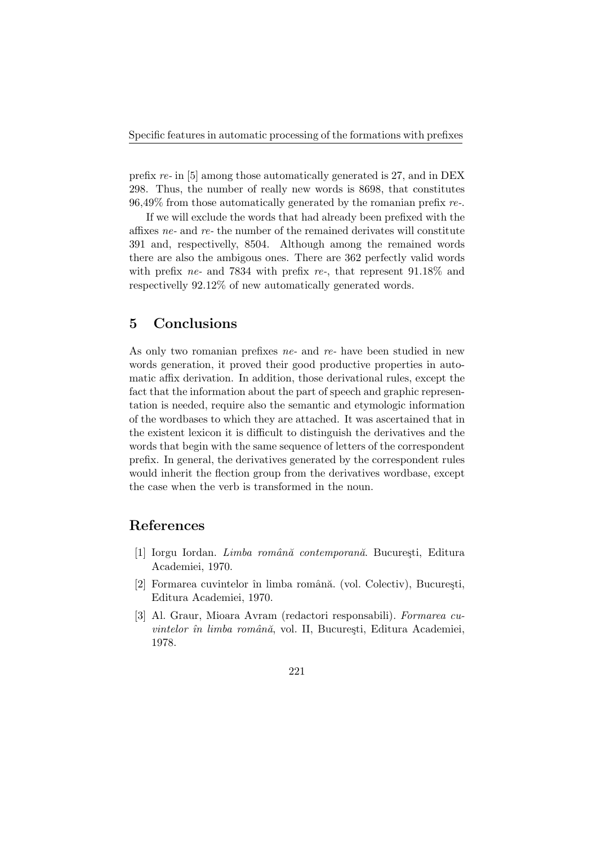prefix re- in [5] among those automatically generated is 27, and in DEX 298. Thus, the number of really new words is 8698, that constitutes  $96,49\%$  from those automatically generated by the romanian prefix re-.

If we will exclude the words that had already been prefixed with the affixes ne- and re- the number of the remained derivates will constitute 391 and, respectivelly, 8504. Although among the remained words there are also the ambigous ones. There are 362 perfectly valid words with prefix ne- and 7834 with prefix re-, that represent  $91.18\%$  and respectivelly 92.12% of new automatically generated words.

# 5 Conclusions

As only two romanian prefixes *ne*- and *re*- have been studied in new words generation, it proved their good productive properties in automatic affix derivation. In addition, those derivational rules, except the fact that the information about the part of speech and graphic representation is needed, require also the semantic and etymologic information of the wordbases to which they are attached. It was ascertained that in the existent lexicon it is difficult to distinguish the derivatives and the words that begin with the same sequence of letters of the correspondent prefix. In general, the derivatives generated by the correspondent rules would inherit the flection group from the derivatives wordbase, except the case when the verb is transformed in the noun.

# References

- [1] Iorgu Iordan. Limba română contemporană. București, Editura Academiei, 1970.
- [2] Formarea cuvintelor în limba română. (vol. Colectiv), București, Editura Academiei, 1970.
- [3] Al. Graur, Mioara Avram (redactori responsabili). Formarea cuvintelor în limba română, vol. II, București, Editura Academiei, 1978.